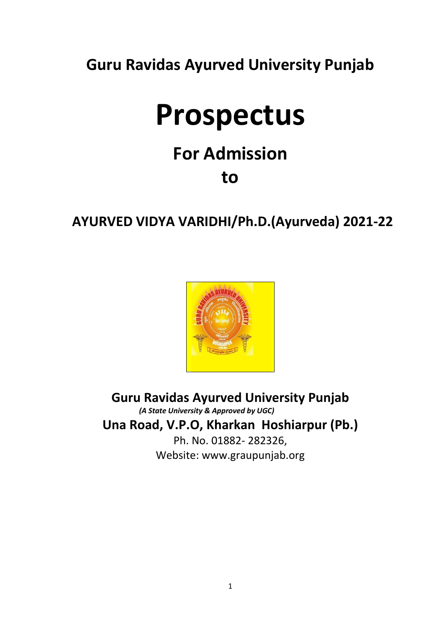**Guru Ravidas Ayurved University Punjab**

# **Prospectus**

## **For Admission to**

### **AYURVED VIDYA VARIDHI/Ph.D.(Ayurveda) 2021-22**



**Guru Ravidas Ayurved University Punjab**  *(A State University & Approved by UGC)* **Una Road, V.P.O, Kharkan Hoshiarpur (Pb.)** Ph. No. 01882- 282326, Website: www.graupunjab.org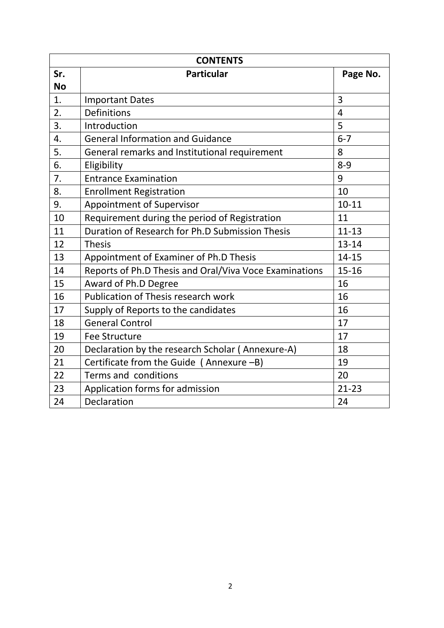|           | <b>CONTENTS</b>                                        |                |
|-----------|--------------------------------------------------------|----------------|
| Sr.       | <b>Particular</b>                                      | Page No.       |
| <b>No</b> |                                                        |                |
| 1.        | <b>Important Dates</b>                                 | 3              |
| 2.        | <b>Definitions</b>                                     | $\overline{4}$ |
| 3.        | Introduction                                           | 5              |
| 4.        | <b>General Information and Guidance</b>                | $6 - 7$        |
| 5.        | General remarks and Institutional requirement          | 8              |
| 6.        | Eligibility                                            | $8 - 9$        |
| 7.        | <b>Entrance Examination</b>                            | 9              |
| 8.        | <b>Enrollment Registration</b>                         | 10             |
| 9.        | <b>Appointment of Supervisor</b>                       | $10 - 11$      |
| 10        | Requirement during the period of Registration          | 11             |
| 11        | Duration of Research for Ph.D Submission Thesis        | $11 - 13$      |
| 12        | <b>Thesis</b>                                          | $13 - 14$      |
| 13        | Appointment of Examiner of Ph.D Thesis                 | 14-15          |
| 14        | Reports of Ph.D Thesis and Oral/Viva Voce Examinations | $15 - 16$      |
| 15        | Award of Ph.D Degree                                   | 16             |
| 16        | Publication of Thesis research work                    | 16             |
| 17        | Supply of Reports to the candidates                    | 16             |
| 18        | <b>General Control</b>                                 | 17             |
| 19        | <b>Fee Structure</b>                                   | 17             |
| 20        | Declaration by the research Scholar (Annexure-A)       | 18             |
| 21        | Certificate from the Guide (Annexure -B)               | 19             |
| 22        | Terms and conditions                                   | 20             |
| 23        | Application forms for admission                        | $21 - 23$      |
| 24        | Declaration                                            | 24             |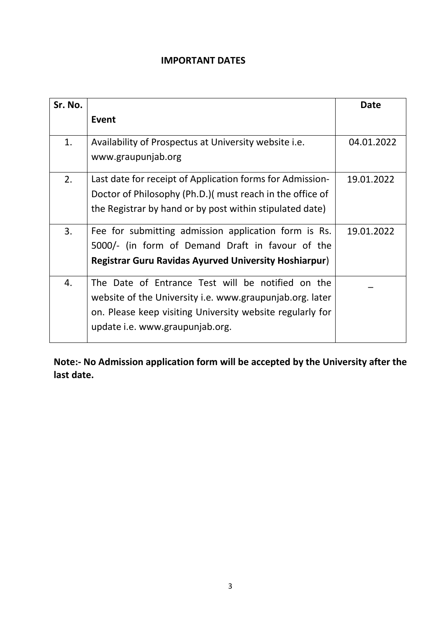#### **IMPORTANT DATES**

| Sr. No. |                                                              | <b>Date</b> |
|---------|--------------------------------------------------------------|-------------|
|         | Event                                                        |             |
| 1.      | Availability of Prospectus at University website i.e.        | 04.01.2022  |
|         | www.graupunjab.org                                           |             |
| 2.      | Last date for receipt of Application forms for Admission-    | 19.01.2022  |
|         | Doctor of Philosophy (Ph.D.) must reach in the office of     |             |
|         | the Registrar by hand or by post within stipulated date)     |             |
| 3.      | Fee for submitting admission application form is Rs.         | 19.01.2022  |
|         | 5000/- (in form of Demand Draft in favour of the             |             |
|         | <b>Registrar Guru Ravidas Ayurved University Hoshiarpur)</b> |             |
| 4.      | The Date of Entrance Test will be notified on the            |             |
|         | website of the University i.e. www.graupunjab.org. later     |             |
|         | on. Please keep visiting University website regularly for    |             |
|         | update i.e. www.graupunjab.org.                              |             |

**Note:- No Admission application form will be accepted by the University after the last date.**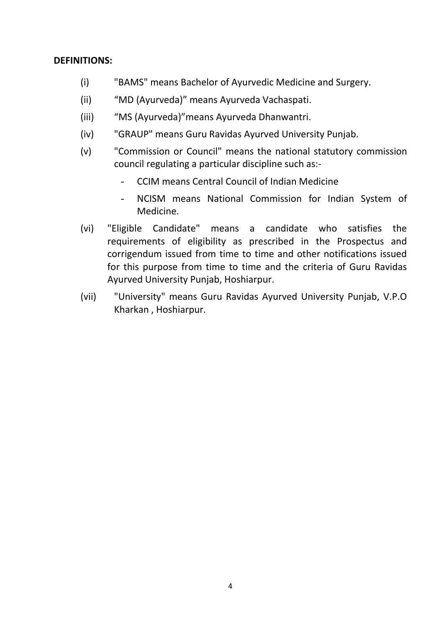#### **DEFINITIONS:**

- (i) "BAMS" means Bachelor of Ayurvedic Medicine and Surgery.
- (ii) "MD (Ayurveda)" means Ayurveda Vachaspati.
- (iii) "MS (Ayurveda)"means Ayurveda Dhanwantri.
- (iv) "GRAUP" means Guru Ravidas Ayurved University Punjab.
- (v) "Commission or Council" means the national statutory commission council regulating a particular discipline such as:-
	- CCIM means Central Council of Indian Medicine
	- NCISM means National Commission for Indian System of Medicine.
- (vi) "Eligible Candidate" means a candidate who satisfies the requirements of eligibility as prescribed in the Prospectus and corrigendum issued from time to time and other notifications issued for this purpose from time to time and the criteria of Guru Ravidas Ayurved University Punjab, Hoshiarpur.
- (vii) "University" means Guru Ravidas Ayurved University Punjab, V.P.O Kharkan , Hoshiarpur.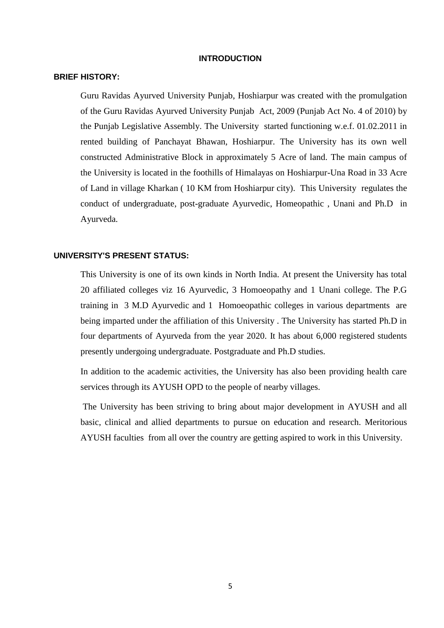#### **INTRODUCTION**

#### **BRIEF HISTORY:**

Guru Ravidas Ayurved University Punjab, Hoshiarpur was created with the promulgation of the Guru Ravidas Ayurved University Punjab Act, 2009 (Punjab Act No. 4 of 2010) by the Punjab Legislative Assembly. The University started functioning w.e.f. 01.02.2011 in rented building of Panchayat Bhawan, Hoshiarpur. The University has its own well constructed Administrative Block in approximately 5 Acre of land. The main campus of the University is located in the foothills of Himalayas on Hoshiarpur-Una Road in 33 Acre of Land in village Kharkan ( 10 KM from Hoshiarpur city). This University regulates the conduct of undergraduate, post-graduate Ayurvedic, Homeopathic , Unani and Ph.D in Ayurveda.

#### **UNIVERSITY'S PRESENT STATUS:**

This University is one of its own kinds in North India. At present the University has total 20 affiliated colleges viz 16 Ayurvedic, 3 Homoeopathy and 1 Unani college. The P.G training in 3 M.D Ayurvedic and 1 Homoeopathic colleges in various departments are being imparted under the affiliation of this University . The University has started Ph.D in four departments of Ayurveda from the year 2020. It has about 6,000 registered students presently undergoing undergraduate. Postgraduate and Ph.D studies.

In addition to the academic activities, the University has also been providing health care services through its AYUSH OPD to the people of nearby villages.

The University has been striving to bring about major development in AYUSH and all basic, clinical and allied departments to pursue on education and research. Meritorious AYUSH faculties from all over the country are getting aspired to work in this University.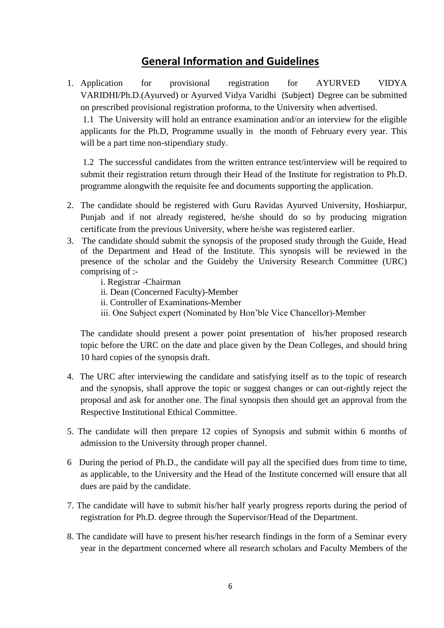### **General Information and Guidelines**

1. Application for provisional registration for AYURVED VIDYA VARIDHI/Ph.D.(Ayurved) or Ayurved Vidya Varidhi (Subject) Degree can be submitted on prescribed provisional registration proforma, to the University when advertised. 1.1 The University will hold an entrance examination and/or an interview for the eligible

applicants for the Ph.D, Programme usually in the month of February every year. This will be a part time non-stipendiary study.

 1.2 The successful candidates from the written entrance test/interview will be required to submit their registration return through their Head of the Institute for registration to Ph.D. programme alongwith the requisite fee and documents supporting the application.

- 2. The candidate should be registered with Guru Ravidas Ayurved University, Hoshiarpur, Punjab and if not already registered, he/she should do so by producing migration certificate from the previous University, where he/she was registered earlier.
- 3. The candidate should submit the synopsis of the proposed study through the Guide, Head of the Department and Head of the Institute. This synopsis will be reviewed in the presence of the scholar and the Guideby the University Research Committee (URC) comprising of :
	- i. Registrar -Chairman
	- ii. Dean (Concerned Faculty)-Member
	- ii. Controller of Examinations-Member
	- iii. One Subject expert (Nominated by Hon'ble Vice Chancellor)-Member

The candidate should present a power point presentation of his/her proposed research topic before the URC on the date and place given by the Dean Colleges, and should bring 10 hard copies of the synopsis draft.

- 4. The URC after interviewing the candidate and satisfying itself as to the topic of research and the synopsis, shall approve the topic or suggest changes or can out-rightly reject the proposal and ask for another one. The final synopsis then should get an approval from the Respective Institutional Ethical Committee.
- 5. The candidate will then prepare 12 copies of Synopsis and submit within 6 months of admission to the University through proper channel.
- 6 During the period of Ph.D., the candidate will pay all the specified dues from time to time, as applicable, to the University and the Head of the Institute concerned will ensure that all dues are paid by the candidate.
- 7. The candidate will have to submit his/her half yearly progress reports during the period of registration for Ph.D. degree through the Supervisor/Head of the Department.
- 8. The candidate will have to present his/her research findings in the form of a Seminar every year in the department concerned where all research scholars and Faculty Members of the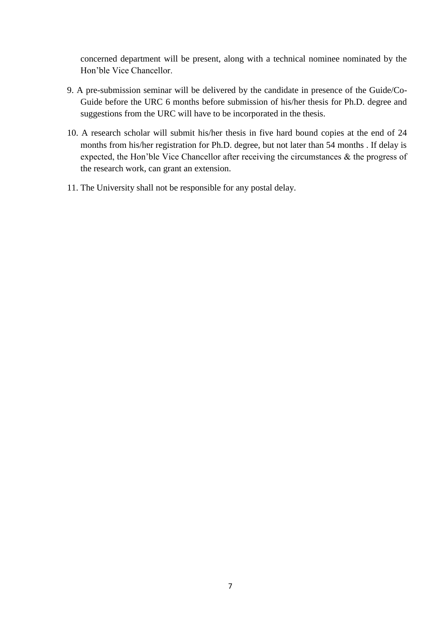concerned department will be present, along with a technical nominee nominated by the Hon'ble Vice Chancellor.

- 9. A pre-submission seminar will be delivered by the candidate in presence of the Guide/Co-Guide before the URC 6 months before submission of his/her thesis for Ph.D. degree and suggestions from the URC will have to be incorporated in the thesis.
- 10. A research scholar will submit his/her thesis in five hard bound copies at the end of 24 months from his/her registration for Ph.D. degree, but not later than 54 months . If delay is expected, the Hon'ble Vice Chancellor after receiving the circumstances & the progress of the research work, can grant an extension.
- 11. The University shall not be responsible for any postal delay.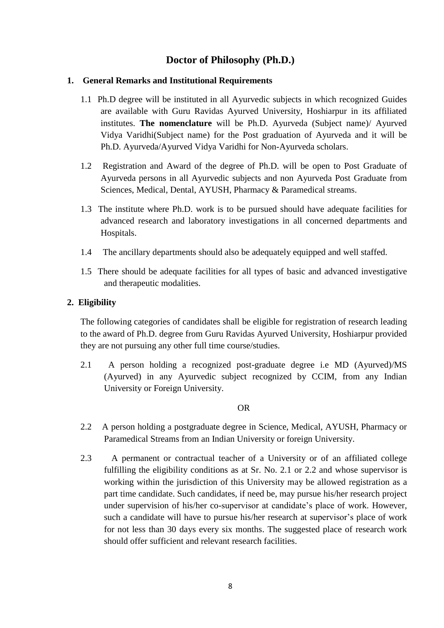#### **Doctor of Philosophy (Ph.D.)**

#### **1. General Remarks and Institutional Requirements**

- 1.1 Ph.D degree will be instituted in all Ayurvedic subjects in which recognized Guides are available with Guru Ravidas Ayurved University, Hoshiarpur in its affiliated institutes. **The nomenclature** will be Ph.D. Ayurveda (Subject name)/ Ayurved Vidya Varidhi(Subject name) for the Post graduation of Ayurveda and it will be Ph.D. Ayurveda/Ayurved Vidya Varidhi for Non-Ayurveda scholars.
- 1.2 Registration and Award of the degree of Ph.D. will be open to Post Graduate of Ayurveda persons in all Ayurvedic subjects and non Ayurveda Post Graduate from Sciences, Medical, Dental, AYUSH, Pharmacy & Paramedical streams.
- 1.3 The institute where Ph.D. work is to be pursued should have adequate facilities for advanced research and laboratory investigations in all concerned departments and Hospitals.
- 1.4 The ancillary departments should also be adequately equipped and well staffed.
- 1.5 There should be adequate facilities for all types of basic and advanced investigative and therapeutic modalities.

#### **2. Eligibility**

The following categories of candidates shall be eligible for registration of research leading to the award of Ph.D. degree from Guru Ravidas Ayurved University, Hoshiarpur provided they are not pursuing any other full time course/studies.

2.1 A person holding a recognized post-graduate degree i.e MD (Ayurved)/MS (Ayurved) in any Ayurvedic subject recognized by CCIM, from any Indian University or Foreign University.

#### OR

- 2.2 A person holding a postgraduate degree in Science, Medical, AYUSH, Pharmacy or Paramedical Streams from an Indian University or foreign University.
- 2.3 A permanent or contractual teacher of a University or of an affiliated college fulfilling the eligibility conditions as at Sr. No. 2.1 or 2.2 and whose supervisor is working within the jurisdiction of this University may be allowed registration as a part time candidate. Such candidates, if need be, may pursue his/her research project under supervision of his/her co-supervisor at candidate's place of work. However, such a candidate will have to pursue his/her research at supervisor's place of work for not less than 30 days every six months. The suggested place of research work should offer sufficient and relevant research facilities.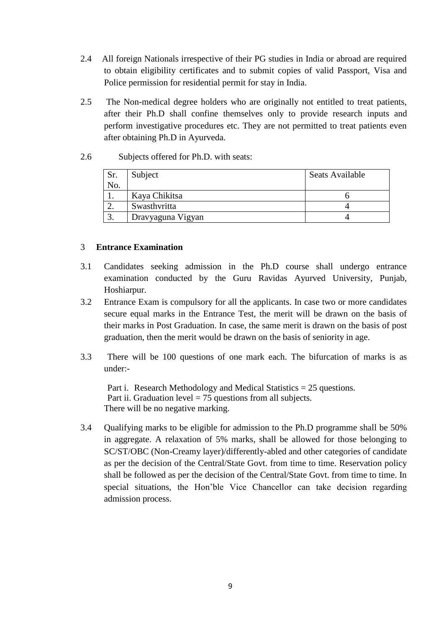- 2.4 All foreign Nationals irrespective of their PG studies in India or abroad are required to obtain eligibility certificates and to submit copies of valid Passport, Visa and Police permission for residential permit for stay in India.
- 2.5 The Non-medical degree holders who are originally not entitled to treat patients, after their Ph.D shall confine themselves only to provide research inputs and perform investigative procedures etc. They are not permitted to treat patients even after obtaining Ph.D in Ayurveda.

#### 2.6 Subjects offered for Ph.D. with seats:

| Sr.<br>No. | Subject           | <b>Seats Available</b> |
|------------|-------------------|------------------------|
|            | Kaya Chikitsa     |                        |
| ۷.         | Swasthvritta      |                        |
|            | Dravyaguna Vigyan |                        |

#### 3 **Entrance Examination**

- 3.1 Candidates seeking admission in the Ph.D course shall undergo entrance examination conducted by the Guru Ravidas Ayurved University, Punjab, Hoshiarpur.
- 3.2 Entrance Exam is compulsory for all the applicants. In case two or more candidates secure equal marks in the Entrance Test, the merit will be drawn on the basis of their marks in Post Graduation. In case, the same merit is drawn on the basis of post graduation, then the merit would be drawn on the basis of seniority in age.
- 3.3 There will be 100 questions of one mark each. The bifurcation of marks is as under:-

Part i. Research Methodology and Medical Statistics = 25 questions. Part ii. Graduation level  $= 75$  questions from all subjects. There will be no negative marking.

3.4 Qualifying marks to be eligible for admission to the Ph.D programme shall be 50% in aggregate. A relaxation of 5% marks, shall be allowed for those belonging to SC/ST/OBC (Non-Creamy layer)/differently-abled and other categories of candidate as per the decision of the Central/State Govt. from time to time. Reservation policy shall be followed as per the decision of the Central/State Govt. from time to time. In special situations, the Hon'ble Vice Chancellor can take decision regarding admission process.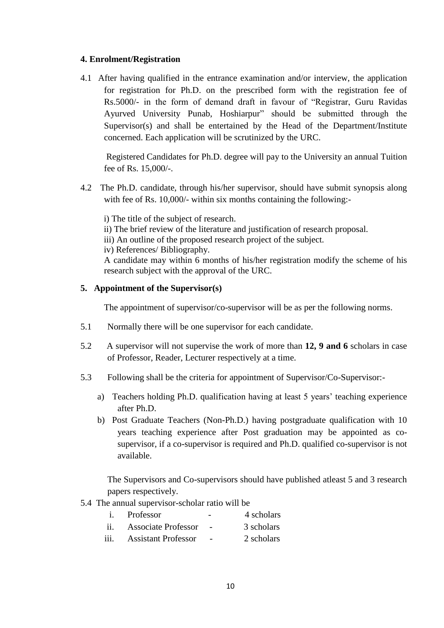#### **4. Enrolment/Registration**

4.1 After having qualified in the entrance examination and/or interview, the application for registration for Ph.D. on the prescribed form with the registration fee of Rs.5000/- in the form of demand draft in favour of "Registrar, Guru Ravidas" Ayurved University Punab, Hoshiarpur" should be submitted through the Supervisor(s) and shall be entertained by the Head of the Department/Institute concerned. Each application will be scrutinized by the URC.

Registered Candidates for Ph.D. degree will pay to the University an annual Tuition fee of Rs. 15,000/-.

4.2 The Ph.D. candidate, through his/her supervisor, should have submit synopsis along with fee of Rs. 10,000/- within six months containing the following:-

i) The title of the subject of research.

- ii) The brief review of the literature and justification of research proposal.
- iii) An outline of the proposed research project of the subject.

iv) References/ Bibliography.

A candidate may within 6 months of his/her registration modify the scheme of his research subject with the approval of the URC.

#### **5. Appointment of the Supervisor(s)**

The appointment of supervisor/co-supervisor will be as per the following norms.

- 5.1 Normally there will be one supervisor for each candidate.
- 5.2 A supervisor will not supervise the work of more than **12, 9 and 6** scholars in case of Professor, Reader, Lecturer respectively at a time.
- 5.3 Following shall be the criteria for appointment of Supervisor/Co-Supervisor:
	- a) Teachers holding Ph.D. qualification having at least 5 years' teaching experience after Ph.D.
	- b) Post Graduate Teachers (Non-Ph.D.) having postgraduate qualification with 10 years teaching experience after Post graduation may be appointed as cosupervisor, if a co-supervisor is required and Ph.D. qualified co-supervisor is not available.

The Supervisors and Co-supervisors should have published atleast 5 and 3 research papers respectively.

5.4 The annual supervisor-scholar ratio will be

|      | Professor                  | $\overline{\phantom{0}}$ | 4 scholars |
|------|----------------------------|--------------------------|------------|
| ii.  | <b>Associate Professor</b> |                          | 3 scholars |
| iii. | <b>Assistant Professor</b> |                          | 2 scholars |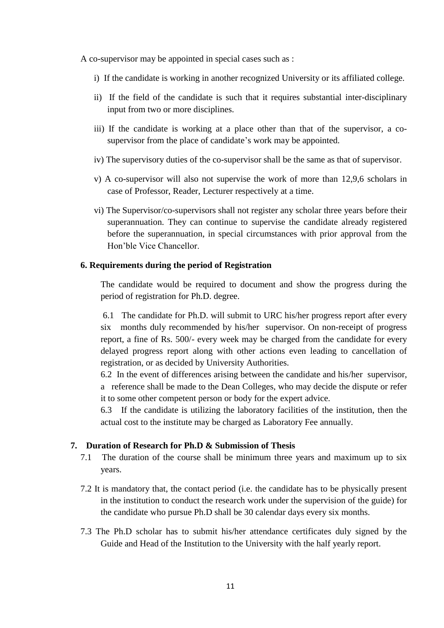A co-supervisor may be appointed in special cases such as :

- i) If the candidate is working in another recognized University or its affiliated college.
- ii) If the field of the candidate is such that it requires substantial inter-disciplinary input from two or more disciplines.
- iii) If the candidate is working at a place other than that of the supervisor, a cosupervisor from the place of candidate's work may be appointed.
- iv) The supervisory duties of the co-supervisor shall be the same as that of supervisor.
- v) A co-supervisor will also not supervise the work of more than 12,9,6 scholars in case of Professor, Reader, Lecturer respectively at a time.
- vi) The Supervisor/co-supervisors shall not register any scholar three years before their superannuation. They can continue to supervise the candidate already registered before the superannuation, in special circumstances with prior approval from the Hon'ble Vice Chancellor.

#### **6. Requirements during the period of Registration**

The candidate would be required to document and show the progress during the period of registration for Ph.D. degree.

 6.1 The candidate for Ph.D. will submit to URC his/her progress report after every six months duly recommended by his/her supervisor. On non-receipt of progress report, a fine of Rs. 500/- every week may be charged from the candidate for every delayed progress report along with other actions even leading to cancellation of registration, or as decided by University Authorities.

6.2 In the event of differences arising between the candidate and his/her supervisor, a reference shall be made to the Dean Colleges, who may decide the dispute or refer it to some other competent person or body for the expert advice.

6.3 If the candidate is utilizing the laboratory facilities of the institution, then the actual cost to the institute may be charged as Laboratory Fee annually.

#### **7. Duration of Research for Ph.D & Submission of Thesis**

- 7.1 The duration of the course shall be minimum three years and maximum up to six years.
- 7.2 It is mandatory that, the contact period (i.e. the candidate has to be physically present in the institution to conduct the research work under the supervision of the guide) for the candidate who pursue Ph.D shall be 30 calendar days every six months.
- 7.3 The Ph.D scholar has to submit his/her attendance certificates duly signed by the Guide and Head of the Institution to the University with the half yearly report.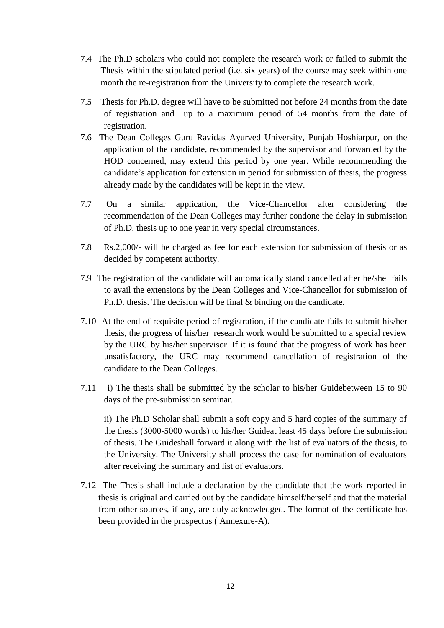- 7.4 The Ph.D scholars who could not complete the research work or failed to submit the Thesis within the stipulated period (i.e. six years) of the course may seek within one month the re-registration from the University to complete the research work.
- 7.5 Thesis for Ph.D. degree will have to be submitted not before 24 months from the date of registration and up to a maximum period of 54 months from the date of registration.
- 7.6 The Dean Colleges Guru Ravidas Ayurved University, Punjab Hoshiarpur, on the application of the candidate, recommended by the supervisor and forwarded by the HOD concerned, may extend this period by one year. While recommending the candidate's application for extension in period for submission of thesis, the progress already made by the candidates will be kept in the view.
- 7.7 On a similar application, the Vice-Chancellor after considering the recommendation of the Dean Colleges may further condone the delay in submission of Ph.D. thesis up to one year in very special circumstances.
- 7.8 Rs.2,000/- will be charged as fee for each extension for submission of thesis or as decided by competent authority.
- 7.9 The registration of the candidate will automatically stand cancelled after he/she fails to avail the extensions by the Dean Colleges and Vice-Chancellor for submission of Ph.D. thesis. The decision will be final & binding on the candidate.
- 7.10 At the end of requisite period of registration, if the candidate fails to submit his/her thesis, the progress of his/her research work would be submitted to a special review by the URC by his/her supervisor. If it is found that the progress of work has been unsatisfactory, the URC may recommend cancellation of registration of the candidate to the Dean Colleges.
- 7.11 i) The thesis shall be submitted by the scholar to his/her Guidebetween 15 to 90 days of the pre-submission seminar.

ii) The Ph.D Scholar shall submit a soft copy and 5 hard copies of the summary of the thesis (3000-5000 words) to his/her Guideat least 45 days before the submission of thesis. The Guideshall forward it along with the list of evaluators of the thesis, to the University. The University shall process the case for nomination of evaluators after receiving the summary and list of evaluators.

 7.12 The Thesis shall include a declaration by the candidate that the work reported in thesis is original and carried out by the candidate himself/herself and that the material from other sources, if any, are duly acknowledged. The format of the certificate has been provided in the prospectus ( Annexure-A).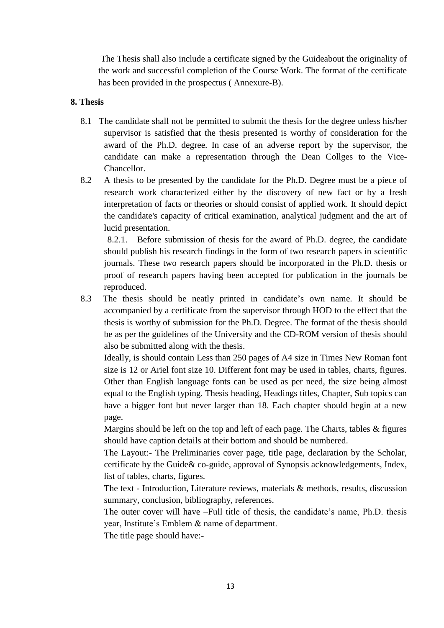The Thesis shall also include a certificate signed by the Guideabout the originality of the work and successful completion of the Course Work. The format of the certificate has been provided in the prospectus ( Annexure-B).

#### **8. Thesis**

- 8.1 The candidate shall not be permitted to submit the thesis for the degree unless his/her supervisor is satisfied that the thesis presented is worthy of consideration for the award of the Ph.D. degree. In case of an adverse report by the supervisor, the candidate can make a representation through the Dean Collges to the Vice-Chancellor.
- 8.2 A thesis to be presented by the candidate for the Ph.D. Degree must be a piece of research work characterized either by the discovery of new fact or by a fresh interpretation of facts or theories or should consist of applied work. It should depict the candidate's capacity of critical examination, analytical judgment and the art of lucid presentation.

8.2.1. Before submission of thesis for the award of Ph.D. degree, the candidate should publish his research findings in the form of two research papers in scientific journals. These two research papers should be incorporated in the Ph.D. thesis or proof of research papers having been accepted for publication in the journals be reproduced.

8.3 The thesis should be neatly printed in candidate's own name. It should be accompanied by a certificate from the supervisor through HOD to the effect that the thesis is worthy of submission for the Ph.D. Degree. The format of the thesis should be as per the guidelines of the University and the CD-ROM version of thesis should also be submitted along with the thesis.

Ideally, is should contain Less than 250 pages of A4 size in Times New Roman font size is 12 or Ariel font size 10. Different font may be used in tables, charts, figures. Other than English language fonts can be used as per need, the size being almost equal to the English typing. Thesis heading, Headings titles, Chapter, Sub topics can have a bigger font but never larger than 18. Each chapter should begin at a new page.

Margins should be left on the top and left of each page. The Charts, tables & figures should have caption details at their bottom and should be numbered.

The Layout:- The Preliminaries cover page, title page, declaration by the Scholar, certificate by the Guide& co-guide, approval of Synopsis acknowledgements, Index, list of tables, charts, figures.

The text - Introduction, Literature reviews, materials & methods, results, discussion summary, conclusion, bibliography, references.

The outer cover will have –Full title of thesis, the candidate's name, Ph.D. thesis year, Institute's Emblem & name of department.

The title page should have:-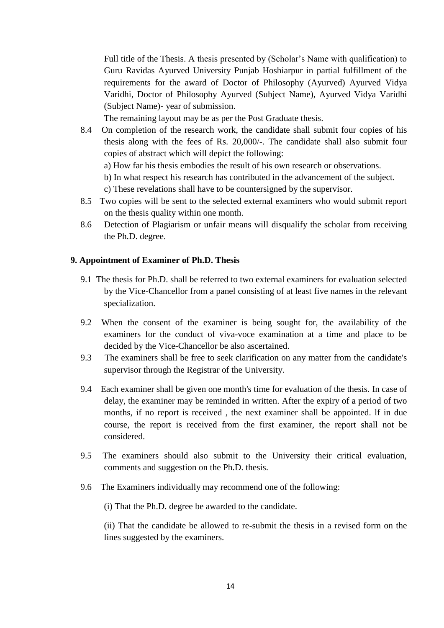Full title of the Thesis. A thesis presented by (Scholar's Name with qualification) to Guru Ravidas Ayurved University Punjab Hoshiarpur in partial fulfillment of the requirements for the award of Doctor of Philosophy (Ayurved) Ayurved Vidya Varidhi, Doctor of Philosophy Ayurved (Subject Name), Ayurved Vidya Varidhi (Subject Name)- year of submission.

The remaining layout may be as per the Post Graduate thesis.

- 8.4 On completion of the research work, the candidate shall submit four copies of his thesis along with the fees of Rs. 20,000/-. The candidate shall also submit four copies of abstract which will depict the following:
	- a) How far his thesis embodies the result of his own research or observations.
	- b) In what respect his research has contributed in the advancement of the subject.
	- c) These revelations shall have to be countersigned by the supervisor.
- 8.5 Two copies will be sent to the selected external examiners who would submit report on the thesis quality within one month.
- 8.6 Detection of Plagiarism or unfair means will disqualify the scholar from receiving the Ph.D. degree.

#### **9. Appointment of Examiner of Ph.D. Thesis**

- 9.1 The thesis for Ph.D. shall be referred to two external examiners for evaluation selected by the Vice-Chancellor from a panel consisting of at least five names in the relevant specialization.
- 9.2 When the consent of the examiner is being sought for, the availability of the examiners for the conduct of viva-voce examination at a time and place to be decided by the Vice-Chancellor be also ascertained.
- 9.3 The examiners shall be free to seek clarification on any matter from the candidate's supervisor through the Registrar of the University.
- 9.4 Each examiner shall be given one month's time for evaluation of the thesis. In case of delay, the examiner may be reminded in written. After the expiry of a period of two months, if no report is received , the next examiner shall be appointed. lf in due course, the report is received from the first examiner, the report shall not be considered.
- 9.5 The examiners should also submit to the University their critical evaluation, comments and suggestion on the Ph.D. thesis.
- 9.6 The Examiners individually may recommend one of the following:

(i) That the Ph.D. degree be awarded to the candidate.

(ii) That the candidate be allowed to re-submit the thesis in a revised form on the lines suggested by the examiners.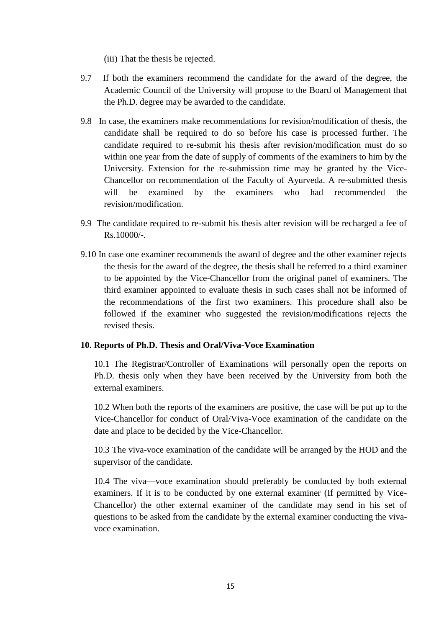(iii) That the thesis be rejected.

- 9.7 If both the examiners recommend the candidate for the award of the degree, the Academic Council of the University will propose to the Board of Management that the Ph.D. degree may be awarded to the candidate.
- 9.8 In case, the examiners make recommendations for revision/modification of thesis, the candidate shall be required to do so before his case is processed further. The candidate required to re-submit his thesis after revision/modification must do so within one year from the date of supply of comments of the examiners to him by the University. Extension for the re-submission time may be granted by the Vice-Chancellor on recommendation of the Faculty of Ayurveda. A re-submitted thesis will be examined by the examiners who had recommended the revision/modification.
- 9.9 The candidate required to re-submit his thesis after revision will be recharged a fee of  $Rs.10000/-$ .
- 9.10 In case one examiner recommends the award of degree and the other examiner rejects the thesis for the award of the degree, the thesis shall be referred to a third examiner to be appointed by the Vice-Chancellor from the original panel of examiners. The third examiner appointed to evaluate thesis in such cases shall not be informed of the recommendations of the first two examiners. This procedure shall also be followed if the examiner who suggested the revision/modifications rejects the revised thesis.

#### **10. Reports of Ph.D. Thesis and Oral/Viva-Voce Examination**

10.1 The Registrar/Controller of Examinations will personally open the reports on Ph.D. thesis only when they have been received by the University from both the external examiners.

10.2 When both the reports of the examiners are positive, the case will be put up to the Vice-Chancellor for conduct of Oral/Viva-Voce examination of the candidate on the date and place to be decided by the Vice-Chancellor.

10.3 The viva-voce examination of the candidate will be arranged by the HOD and the supervisor of the candidate.

10.4 The viva—voce examination should preferably be conducted by both external examiners. If it is to be conducted by one external examiner (If permitted by Vice-Chancellor) the other external examiner of the candidate may send in his set of questions to be asked from the candidate by the external examiner conducting the vivavoce examination.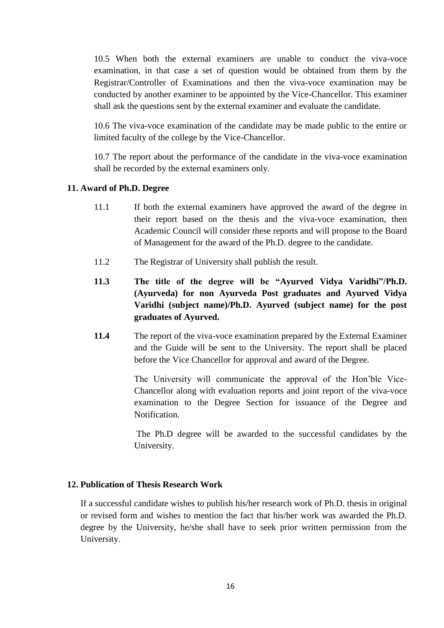10.5 When both the external examiners are unable to conduct the viva-voce examination, in that case a set of question would be obtained from them by the Registrar/Controller of Examinations and then the viva-voce examination may be conducted by another examiner to be appointed by the Vice-Chancellor. This examiner shall ask the questions sent by the external examiner and evaluate the candidate.

10.6 The viva-voce examination of the candidate may be made public to the entire or limited faculty of the college by the Vice-Chancellor.

10.7 The report about the performance of the candidate in the viva-voce examination shall be recorded by the external examiners only.

#### **11. Award of Ph.D. Degree**

- 11.1 If both the external examiners have approved the award of the degree in their report based on the thesis and the viva-voce examination, then Academic Council will consider these reports and will propose to the Board of Management for the award of the Ph.D. degree to the candidate.
- 11.2 The Registrar of University shall publish the result.
- **11.3 The title of the degree will be "Ayurved Vidya Varidhi"/Ph.D. (Ayurveda) for non Ayurveda Post graduates and Ayurved Vidya Varidhi (subject name)/Ph.D. Ayurved (subject name) for the post graduates of Ayurved.**
- **11.4** The report of the viva-voce examination prepared by the External Examiner and the Guide will be sent to the University. The report shall be placed before the Vice Chancellor for approval and award of the Degree.

The University will communicate the approval of the Hon'ble Vice-Chancellor along with evaluation reports and joint report of the viva-voce examination to the Degree Section for issuance of the Degree and Notification.

The Ph.D degree will be awarded to the successful candidates by the University.

#### **12. Publication of Thesis Research Work**

If a successful candidate wishes to publish his/her research work of Ph.D. thesis in original or revised form and wishes to mention the fact that his/her work was awarded the Ph.D. degree by the University, he/she shall have to seek prior written permission from the University.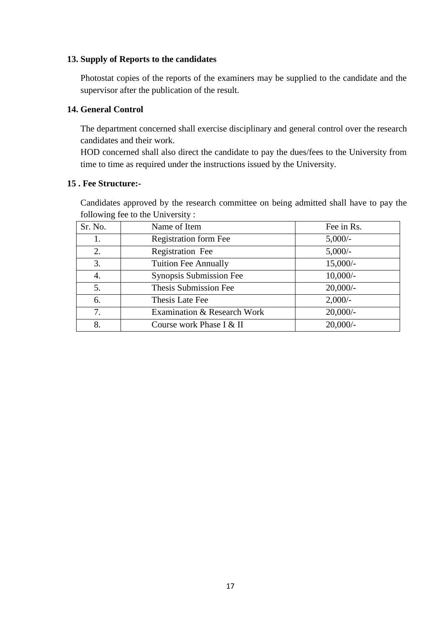#### **13. Supply of Reports to the candidates**

Photostat copies of the reports of the examiners may be supplied to the candidate and the supervisor after the publication of the result.

#### **14. General Control**

The department concerned shall exercise disciplinary and general control over the research candidates and their work.

HOD concerned shall also direct the candidate to pay the dues/fees to the University from time to time as required under the instructions issued by the University.

#### **15 . Fee Structure:-**

Candidates approved by the research committee on being admitted shall have to pay the following fee to the University :

| Sr. No. | Name of Item                 | Fee in Rs.  |
|---------|------------------------------|-------------|
|         | <b>Registration form Fee</b> | $5,000/$ -  |
| 2.      | Registration Fee             | $5,000/-$   |
| 3.      | <b>Tuition Fee Annually</b>  | $15,000/-$  |
| 4.      | Synopsis Submission Fee      | $10,000/-$  |
| 5.      | Thesis Submission Fee        | $20,000/$ - |
| 6.      | Thesis Late Fee              | $2,000/-$   |
| 7.      | Examination & Research Work  | $20,000/-$  |
| 8.      | Course work Phase I & II     | $20,000/-$  |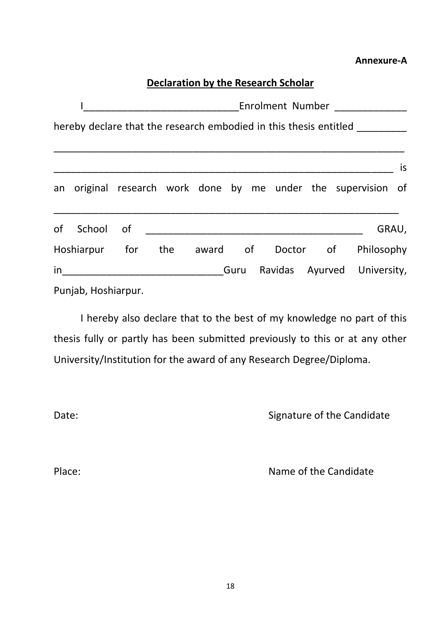#### **Annexure-A**

### **Declaration by the Research Scholar**

|                     |  |  | Enrolment Number _________                                                  |  |            |    |
|---------------------|--|--|-----------------------------------------------------------------------------|--|------------|----|
|                     |  |  | hereby declare that the research embodied in this thesis entitled _________ |  |            |    |
|                     |  |  |                                                                             |  |            | is |
|                     |  |  | an original research work done by me under the supervision of               |  |            |    |
| of School of        |  |  |                                                                             |  | GRAU,      |    |
| Hoshiarpur for      |  |  | the award of Doctor of                                                      |  | Philosophy |    |
|                     |  |  | Guru Ravidas Ayurved University,                                            |  |            |    |
| Punjab, Hoshiarpur. |  |  |                                                                             |  |            |    |

I hereby also declare that to the best of my knowledge no part of this thesis fully or partly has been submitted previously to this or at any other University/Institution for the award of any Research Degree/Diploma.

Date: Canadidate Signature of the Candidate

Place: Place: Name of the Candidate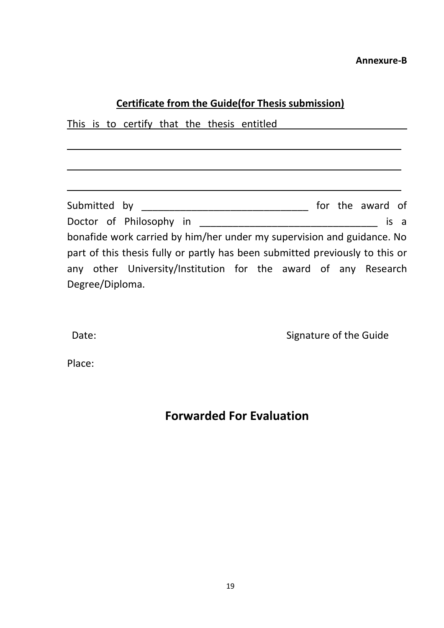#### **Annexure-B**

#### **Certificate from the Guide(for Thesis submission)**

 $\overline{\phantom{a}}$  , and the contract of the contract of the contract of the contract of the contract of the contract of the contract of the contract of the contract of the contract of the contract of the contract of the contrac

 $\overline{\phantom{a}}$  , and the contract of the contract of the contract of the contract of the contract of the contract of the contract of the contract of the contract of the contract of the contract of the contract of the contrac

\_\_\_\_\_\_\_\_\_\_\_\_\_\_\_\_\_\_\_\_\_\_\_\_\_\_\_\_\_\_\_\_\_\_\_\_\_\_\_\_\_\_\_\_\_\_\_\_\_\_\_\_\_\_\_\_\_\_\_\_

This is to certify that the thesis entitled

Submitted by \_\_\_\_\_\_\_\_\_\_\_\_\_\_\_\_\_\_\_\_\_\_\_\_\_\_\_\_\_\_ for the award of Doctor of Philosophy in \_\_\_\_\_\_\_\_\_\_\_\_\_\_\_\_\_\_\_\_\_\_\_\_\_\_\_\_\_\_\_\_ is a bonafide work carried by him/her under my supervision and guidance. No part of this thesis fully or partly has been submitted previously to this or any other University/Institution for the award of any Research Degree/Diploma.

Date: Case of the Guide Case of the Guide Case of the Guide Case of the Guide Case of the Guide Case of the Guide Case of the Guide Case of the Guide Case of the Guide Case of the Guide Case of the Guide Case of the Guide

Place:

### **Forwarded For Evaluation**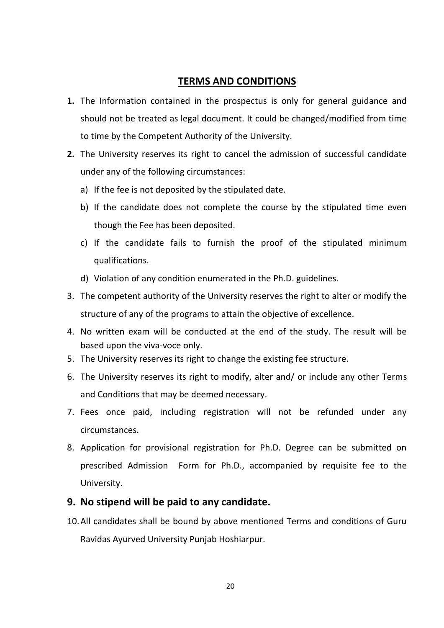#### **TERMS AND CONDITIONS**

- **1.** The Information contained in the prospectus is only for general guidance and should not be treated as legal document. It could be changed/modified from time to time by the Competent Authority of the University.
- **2.** The University reserves its right to cancel the admission of successful candidate under any of the following circumstances:
	- a) If the fee is not deposited by the stipulated date.
	- b) If the candidate does not complete the course by the stipulated time even though the Fee has been deposited.
	- c) If the candidate fails to furnish the proof of the stipulated minimum qualifications.
	- d) Violation of any condition enumerated in the Ph.D. guidelines.
- 3. The competent authority of the University reserves the right to alter or modify the structure of any of the programs to attain the objective of excellence.
- 4. No written exam will be conducted at the end of the study. The result will be based upon the viva-voce only.
- 5. The University reserves its right to change the existing fee structure.
- 6. The University reserves its right to modify, alter and/ or include any other Terms and Conditions that may be deemed necessary.
- 7. Fees once paid, including registration will not be refunded under any circumstances.
- 8. Application for provisional registration for Ph.D. Degree can be submitted on prescribed Admission Form for Ph.D., accompanied by requisite fee to the University.

#### **9. No stipend will be paid to any candidate.**

10.All candidates shall be bound by above mentioned Terms and conditions of Guru Ravidas Ayurved University Punjab Hoshiarpur.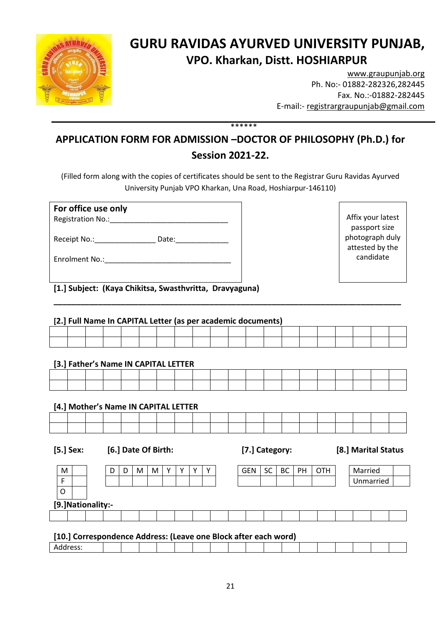

### **GURU RAVIDAS AYURVED UNIVERSITY PUNJAB, VPO. Kharkan, Distt. HOSHIARPUR**

[www.graupunjab.org](http://www.graupunjab.org/) Ph. No:- 01882-282326,282445 Fax. No.:-01882-282445 E-mail:- [registrargraupunjab@gmail.com](mailto:registrargraupunjab@gmail.com)

### **APPLICATION FORM FOR ADMISSION –DOCTOR OF PHILOSOPHY (Ph.D.) for Session 2021-22.**

\*\*\*\*\*\*

(Filled form along with the copies of certificates should be sent to the Registrar Guru Ravidas Ayurved University Punjab VPO Kharkan, Una Road, Hoshiarpur-146110)

| For office use only<br>Registration No.: No.: |                                                                                                                                                                                                                                |
|-----------------------------------------------|--------------------------------------------------------------------------------------------------------------------------------------------------------------------------------------------------------------------------------|
| Receipt No.: No.:                             | Date: the contract of the contract of the contract of the contract of the contract of the contract of the contract of the contract of the contract of the contract of the contract of the contract of the contract of the cont |
| Enrolment No.:                                |                                                                                                                                                                                                                                |

Affix your latest passport size photograph duly attested by the candidate

**[1.] Subject: (Kaya Chikitsa, Swasthvritta, Dravyaguna)** 

#### **[2.] Full Name In CAPITAL Letter (as per academic documents)**

|  |  |  |  |  | --------- |  |  |  |  |
|--|--|--|--|--|-----------|--|--|--|--|
|  |  |  |  |  |           |  |  |  |  |
|  |  |  |  |  |           |  |  |  |  |
|  |  |  |  |  |           |  |  |  |  |
|  |  |  |  |  |           |  |  |  |  |

**\_\_\_\_\_\_\_\_\_\_\_\_\_\_\_\_\_\_\_\_\_\_\_\_\_\_\_\_\_\_\_\_\_\_\_\_\_\_\_\_\_\_\_\_\_\_\_\_\_\_\_\_\_\_\_\_\_\_\_\_\_\_\_\_\_\_\_\_\_\_\_\_\_\_\_\_\_\_**

#### **[3.] Father's Name IN CAPITAL LETTER**

#### **[4.] Mother's Name IN CAPITAL LETTER**

| ___ | ______ | __ |  |  |  |  |  |  |  |  |
|-----|--------|----|--|--|--|--|--|--|--|--|
|     |        |    |  |  |  |  |  |  |  |  |
|     |        |    |  |  |  |  |  |  |  |  |
|     |        |    |  |  |  |  |  |  |  |  |
|     |        |    |  |  |  |  |  |  |  |  |
|     |        |    |  |  |  |  |  |  |  |  |
|     |        |    |  |  |  |  |  |  |  |  |
|     |        |    |  |  |  |  |  |  |  |  |
|     |        |    |  |  |  |  |  |  |  |  |

**[5.] Sex: [6.] Date Of Birth: [7.] Category: [8.] Marital Status**

| M |                    | D | υ | M | M | $\mathbf v$ |  | $\mathbf{v}$ |  | <b>GEN</b> | <b>SC</b> | <b>BC</b> | <b>PH</b> | <b>OTH</b> | Married |           |  |
|---|--------------------|---|---|---|---|-------------|--|--------------|--|------------|-----------|-----------|-----------|------------|---------|-----------|--|
| Е |                    |   |   |   |   |             |  |              |  |            |           |           |           |            |         | Unmarried |  |
| O |                    |   |   |   |   |             |  |              |  |            |           |           |           |            |         |           |  |
|   | [9.] Nationality:- |   |   |   |   |             |  |              |  |            |           |           |           |            |         |           |  |
|   |                    |   |   |   |   |             |  |              |  |            |           |           |           |            |         |           |  |

#### **[10.] Correspondence Address: (Leave one Block after each word)**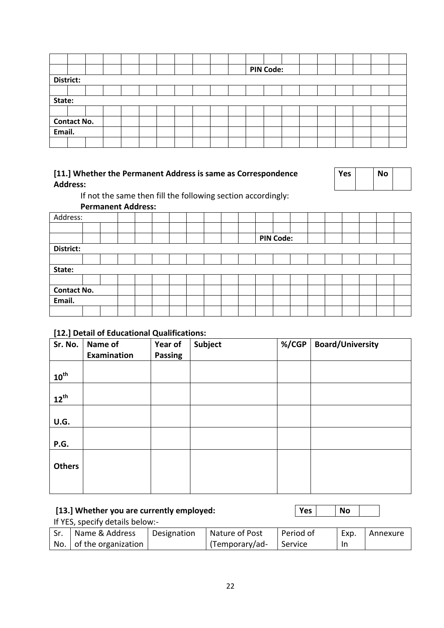|        |                    |  |  |  |  |  |  |  |  |  | <b>PIN Code:</b> |  |  |  |  |
|--------|--------------------|--|--|--|--|--|--|--|--|--|------------------|--|--|--|--|
|        | District:          |  |  |  |  |  |  |  |  |  |                  |  |  |  |  |
|        |                    |  |  |  |  |  |  |  |  |  |                  |  |  |  |  |
| State: |                    |  |  |  |  |  |  |  |  |  |                  |  |  |  |  |
|        |                    |  |  |  |  |  |  |  |  |  |                  |  |  |  |  |
|        | <b>Contact No.</b> |  |  |  |  |  |  |  |  |  |                  |  |  |  |  |
| Email. |                    |  |  |  |  |  |  |  |  |  |                  |  |  |  |  |
|        |                    |  |  |  |  |  |  |  |  |  |                  |  |  |  |  |

#### **[11.] Whether the Permanent Address is same as Correspondence Address:**

| Yes | No |  |
|-----|----|--|
|     |    |  |

If not the same then fill the following section accordingly:

**Permanent Address:**

| Address:           |  |  |  |  |  |  |  |  |  |  |  |                  |  |  |  |  |
|--------------------|--|--|--|--|--|--|--|--|--|--|--|------------------|--|--|--|--|
|                    |  |  |  |  |  |  |  |  |  |  |  |                  |  |  |  |  |
|                    |  |  |  |  |  |  |  |  |  |  |  | <b>PIN Code:</b> |  |  |  |  |
| District:          |  |  |  |  |  |  |  |  |  |  |  |                  |  |  |  |  |
|                    |  |  |  |  |  |  |  |  |  |  |  |                  |  |  |  |  |
| State:             |  |  |  |  |  |  |  |  |  |  |  |                  |  |  |  |  |
|                    |  |  |  |  |  |  |  |  |  |  |  |                  |  |  |  |  |
| <b>Contact No.</b> |  |  |  |  |  |  |  |  |  |  |  |                  |  |  |  |  |
| Email.             |  |  |  |  |  |  |  |  |  |  |  |                  |  |  |  |  |
|                    |  |  |  |  |  |  |  |  |  |  |  |                  |  |  |  |  |

#### **[12.] Detail of Educational Qualifications:**

| Sr. No.          | Name of<br><b>Examination</b> | Year of<br><b>Passing</b> | Subject | %/CGP | <b>Board/University</b> |
|------------------|-------------------------------|---------------------------|---------|-------|-------------------------|
| $10^{\text{th}}$ |                               |                           |         |       |                         |
| $12^{th}$        |                               |                           |         |       |                         |
| U.G.             |                               |                           |         |       |                         |
| P.G.             |                               |                           |         |       |                         |
| <b>Others</b>    |                               |                           |         |       |                         |
|                  |                               |                           |         |       |                         |

| [13.] Whether you are currently employed: | Yes |  | No |  |  |  |  |  |
|-------------------------------------------|-----|--|----|--|--|--|--|--|
| If YES, specify details below:-           |     |  |    |  |  |  |  |  |
|                                           |     |  |    |  |  |  |  |  |

| Sr. | Name & Address          | Designation | Nature of Post         | l Period of | Exp. | l Annexure |
|-----|-------------------------|-------------|------------------------|-------------|------|------------|
|     | No. of the organization |             | (Temporary/ad- Service |             |      |            |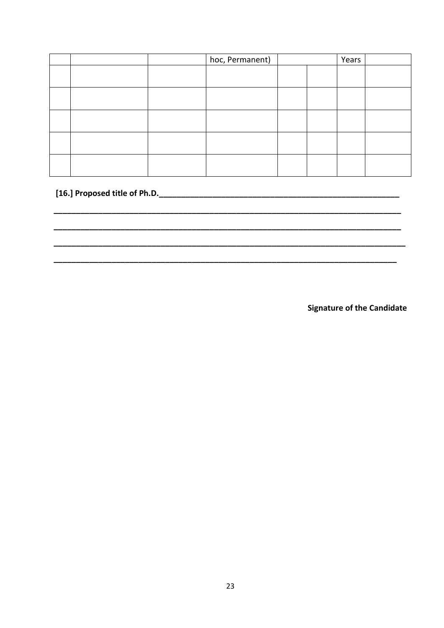|  | hoc, Permanent) |  | Years |  |
|--|-----------------|--|-------|--|
|  |                 |  |       |  |
|  |                 |  |       |  |
|  |                 |  |       |  |
|  |                 |  |       |  |
|  |                 |  |       |  |

#### 

**Signature of the Candidate**